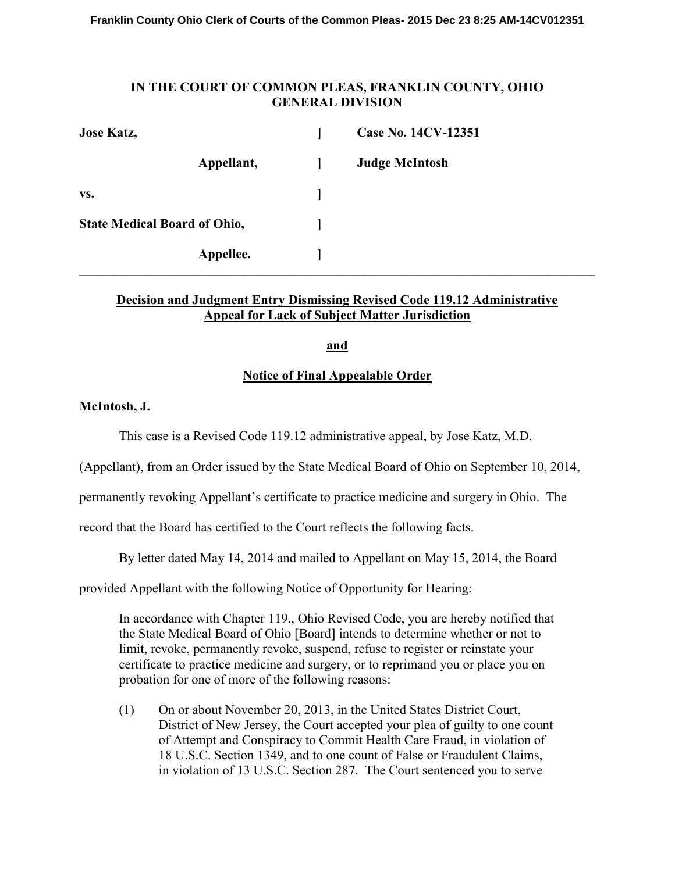## **IN THE COURT OF COMMON PLEAS, FRANKLIN COUNTY, OHIO GENERAL DIVISION**

| <b>Jose Katz,</b>                   |            |              | <b>Case No. 14CV-12351</b> |
|-------------------------------------|------------|--------------|----------------------------|
|                                     | Appellant, | $\mathbf{L}$ | <b>Judge McIntosh</b>      |
| VS.                                 |            |              |                            |
| <b>State Medical Board of Ohio,</b> |            |              |                            |
|                                     | Appellee.  |              |                            |

## **Decision and Judgment Entry Dismissing Revised Code 119.12 Administrative Appeal for Lack of Subject Matter Jurisdiction**

**\_\_\_\_\_\_\_\_\_\_\_\_\_\_\_\_\_\_\_\_\_\_\_\_\_\_\_\_\_\_\_\_\_\_\_\_\_\_\_\_\_\_\_\_\_\_\_\_\_\_\_\_\_\_\_\_\_\_\_\_\_\_\_\_\_\_\_\_\_\_\_\_\_\_\_\_\_\_** 

**and** 

## **Notice of Final Appealable Order**

## **McIntosh, J.**

This case is a Revised Code 119.12 administrative appeal, by Jose Katz, M.D.

(Appellant), from an Order issued by the State Medical Board of Ohio on September 10, 2014,

permanently revoking Appellant's certificate to practice medicine and surgery in Ohio. The

record that the Board has certified to the Court reflects the following facts.

By letter dated May 14, 2014 and mailed to Appellant on May 15, 2014, the Board

provided Appellant with the following Notice of Opportunity for Hearing:

In accordance with Chapter 119., Ohio Revised Code, you are hereby notified that the State Medical Board of Ohio [Board] intends to determine whether or not to limit, revoke, permanently revoke, suspend, refuse to register or reinstate your certificate to practice medicine and surgery, or to reprimand you or place you on probation for one of more of the following reasons:

(1) On or about November 20, 2013, in the United States District Court, District of New Jersey, the Court accepted your plea of guilty to one count of Attempt and Conspiracy to Commit Health Care Fraud, in violation of 18 U.S.C. Section 1349, and to one count of False or Fraudulent Claims, in violation of 13 U.S.C. Section 287. The Court sentenced you to serve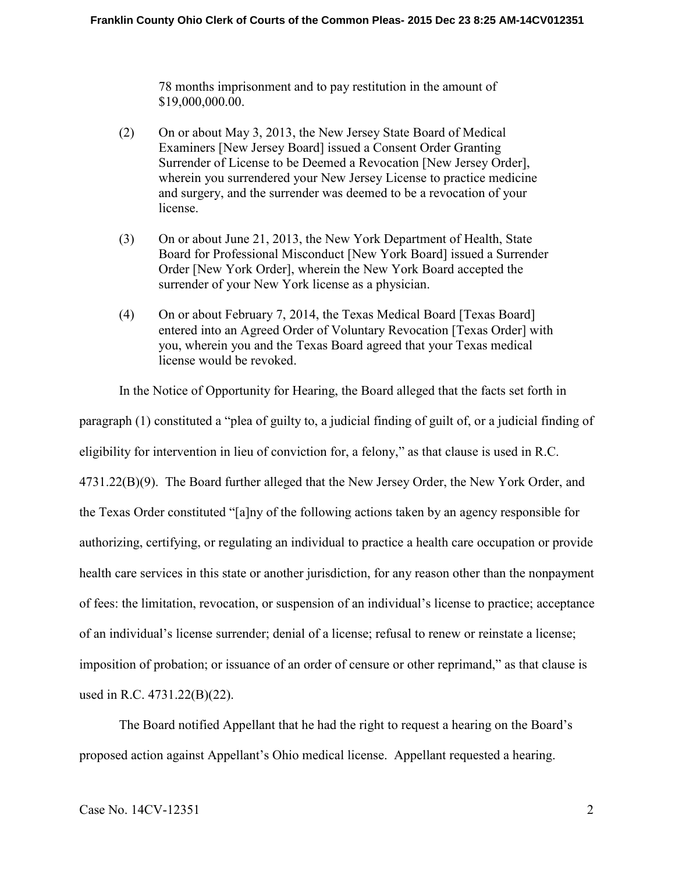78 months imprisonment and to pay restitution in the amount of \$19,000,000.00.

- (2) On or about May 3, 2013, the New Jersey State Board of Medical Examiners [New Jersey Board] issued a Consent Order Granting Surrender of License to be Deemed a Revocation [New Jersey Order], wherein you surrendered your New Jersey License to practice medicine and surgery, and the surrender was deemed to be a revocation of your license.
- (3) On or about June 21, 2013, the New York Department of Health, State Board for Professional Misconduct [New York Board] issued a Surrender Order [New York Order], wherein the New York Board accepted the surrender of your New York license as a physician.
- (4) On or about February 7, 2014, the Texas Medical Board [Texas Board] entered into an Agreed Order of Voluntary Revocation [Texas Order] with you, wherein you and the Texas Board agreed that your Texas medical license would be revoked.

In the Notice of Opportunity for Hearing, the Board alleged that the facts set forth in

paragraph (1) constituted a "plea of guilty to, a judicial finding of guilt of, or a judicial finding of eligibility for intervention in lieu of conviction for, a felony," as that clause is used in R.C. 4731.22(B)(9). The Board further alleged that the New Jersey Order, the New York Order, and the Texas Order constituted "[a]ny of the following actions taken by an agency responsible for authorizing, certifying, or regulating an individual to practice a health care occupation or provide health care services in this state or another jurisdiction, for any reason other than the nonpayment of fees: the limitation, revocation, or suspension of an individual's license to practice; acceptance of an individual's license surrender; denial of a license; refusal to renew or reinstate a license; imposition of probation; or issuance of an order of censure or other reprimand," as that clause is used in R.C. 4731.22(B)(22).

 The Board notified Appellant that he had the right to request a hearing on the Board's proposed action against Appellant's Ohio medical license. Appellant requested a hearing.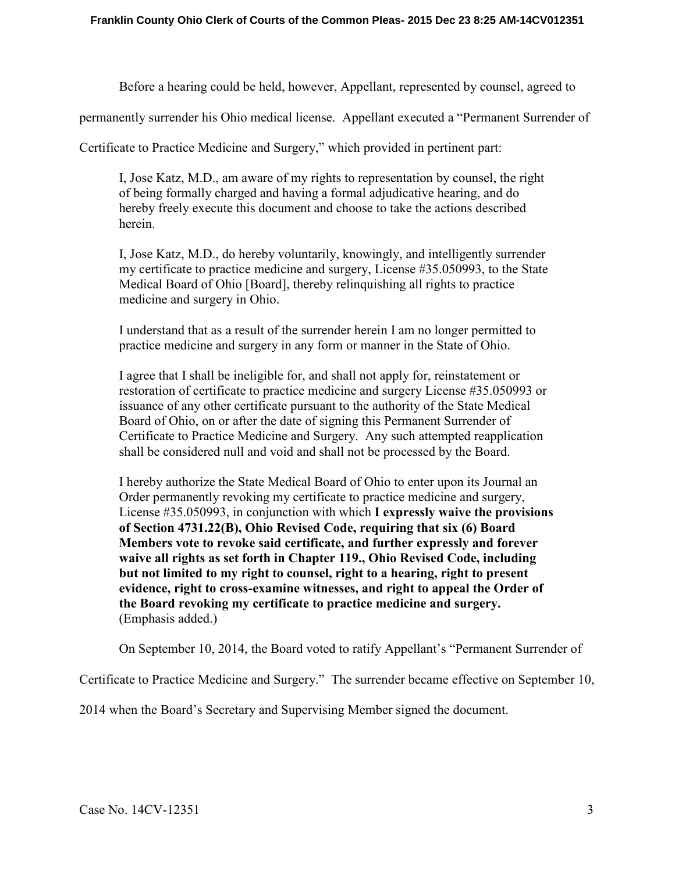Before a hearing could be held, however, Appellant, represented by counsel, agreed to

permanently surrender his Ohio medical license. Appellant executed a "Permanent Surrender of

Certificate to Practice Medicine and Surgery," which provided in pertinent part:

I, Jose Katz, M.D., am aware of my rights to representation by counsel, the right of being formally charged and having a formal adjudicative hearing, and do hereby freely execute this document and choose to take the actions described herein.

I, Jose Katz, M.D., do hereby voluntarily, knowingly, and intelligently surrender my certificate to practice medicine and surgery, License #35.050993, to the State Medical Board of Ohio [Board], thereby relinquishing all rights to practice medicine and surgery in Ohio.

I understand that as a result of the surrender herein I am no longer permitted to practice medicine and surgery in any form or manner in the State of Ohio.

I agree that I shall be ineligible for, and shall not apply for, reinstatement or restoration of certificate to practice medicine and surgery License #35.050993 or issuance of any other certificate pursuant to the authority of the State Medical Board of Ohio, on or after the date of signing this Permanent Surrender of Certificate to Practice Medicine and Surgery. Any such attempted reapplication shall be considered null and void and shall not be processed by the Board.

I hereby authorize the State Medical Board of Ohio to enter upon its Journal an Order permanently revoking my certificate to practice medicine and surgery, License #35.050993, in conjunction with which **I expressly waive the provisions of Section 4731.22(B), Ohio Revised Code, requiring that six (6) Board Members vote to revoke said certificate, and further expressly and forever waive all rights as set forth in Chapter 119., Ohio Revised Code, including but not limited to my right to counsel, right to a hearing, right to present evidence, right to cross-examine witnesses, and right to appeal the Order of the Board revoking my certificate to practice medicine and surgery.** (Emphasis added.)

On September 10, 2014, the Board voted to ratify Appellant's "Permanent Surrender of

Certificate to Practice Medicine and Surgery." The surrender became effective on September 10,

2014 when the Board's Secretary and Supervising Member signed the document.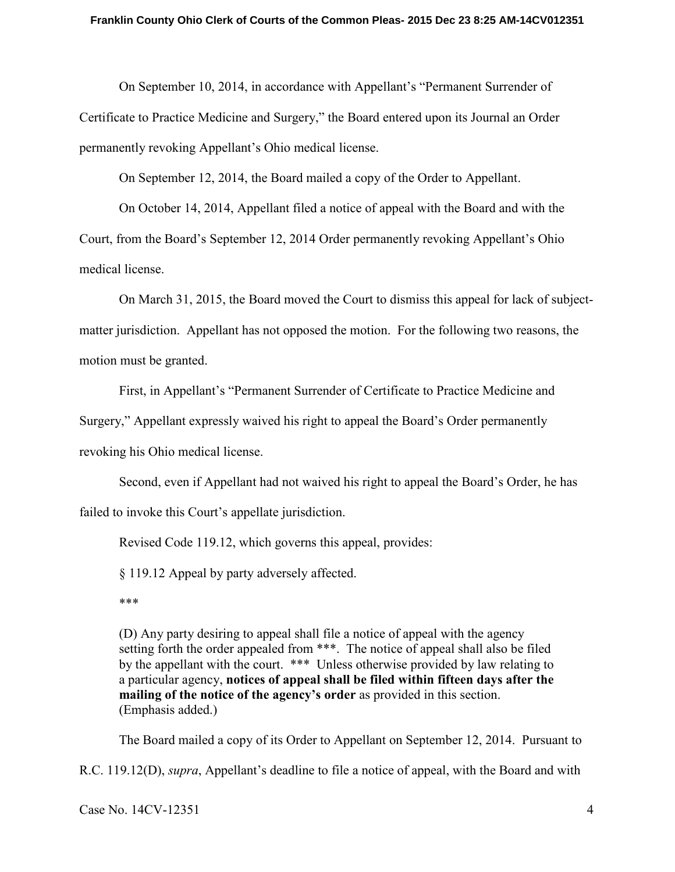On September 10, 2014, in accordance with Appellant's "Permanent Surrender of Certificate to Practice Medicine and Surgery," the Board entered upon its Journal an Order permanently revoking Appellant's Ohio medical license.

On September 12, 2014, the Board mailed a copy of the Order to Appellant.

 On October 14, 2014, Appellant filed a notice of appeal with the Board and with the Court, from the Board's September 12, 2014 Order permanently revoking Appellant's Ohio medical license.

On March 31, 2015, the Board moved the Court to dismiss this appeal for lack of subjectmatter jurisdiction. Appellant has not opposed the motion. For the following two reasons, the motion must be granted.

First, in Appellant's "Permanent Surrender of Certificate to Practice Medicine and

Surgery," Appellant expressly waived his right to appeal the Board's Order permanently

revoking his Ohio medical license.

Second, even if Appellant had not waived his right to appeal the Board's Order, he has

failed to invoke this Court's appellate jurisdiction.

Revised Code 119.12, which governs this appeal, provides:

§ 119.12 Appeal by party adversely affected.

\*\*\*

(D) Any party desiring to appeal shall file a notice of appeal with the agency setting forth the order appealed from \*\*\*. The notice of appeal shall also be filed by the appellant with the court. \*\*\* Unless otherwise provided by law relating to a particular agency, **notices of appeal shall be filed within fifteen days after the mailing of the notice of the agency's order** as provided in this section. (Emphasis added.)

The Board mailed a copy of its Order to Appellant on September 12, 2014. Pursuant to R.C. 119.12(D), *supra*, Appellant's deadline to file a notice of appeal, with the Board and with

Case No. 14CV-12351 4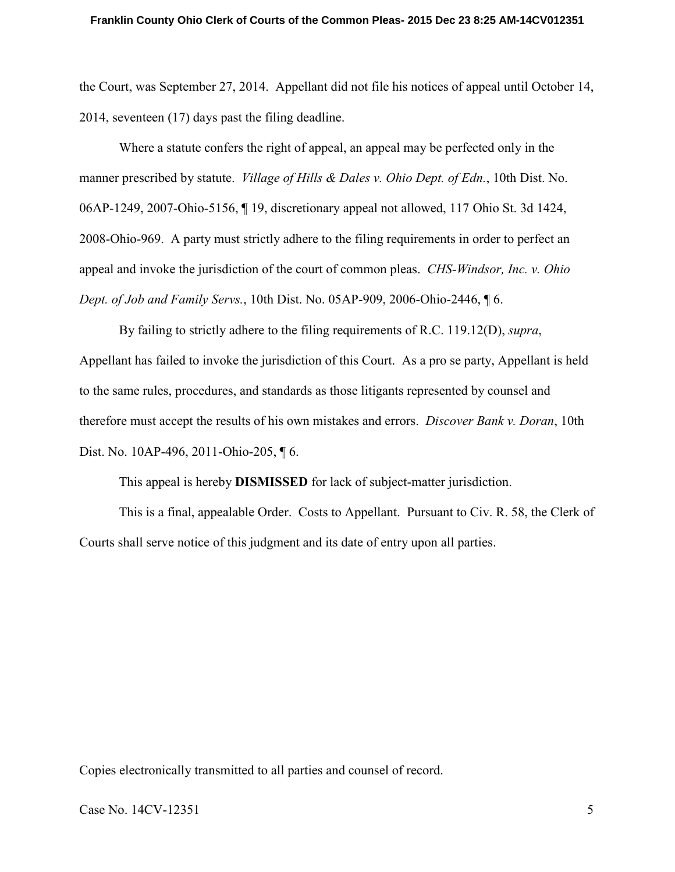the Court, was September 27, 2014. Appellant did not file his notices of appeal until October 14, 2014, seventeen (17) days past the filing deadline.

 Where a statute confers the right of appeal, an appeal may be perfected only in the manner prescribed by statute. *Village of Hills & Dales v. Ohio Dept. of Edn.*, 10th Dist. No. 06AP-1249, 2007-Ohio-5156, ¶ 19, discretionary appeal not allowed, 117 Ohio St. 3d 1424, 2008-Ohio-969. A party must strictly adhere to the filing requirements in order to perfect an appeal and invoke the jurisdiction of the court of common pleas. *CHS-Windsor, Inc. v. Ohio Dept. of Job and Family Servs.*, 10th Dist. No. 05AP-909, 2006-Ohio-2446, ¶ 6.

By failing to strictly adhere to the filing requirements of R.C. 119.12(D), *supra*, Appellant has failed to invoke the jurisdiction of this Court. As a pro se party, Appellant is held to the same rules, procedures, and standards as those litigants represented by counsel and therefore must accept the results of his own mistakes and errors. *Discover Bank v. Doran*, 10th Dist. No. 10AP-496, 2011-Ohio-205, ¶ 6.

This appeal is hereby **DISMISSED** for lack of subject-matter jurisdiction.

This is a final, appealable Order. Costs to Appellant. Pursuant to Civ. R. 58, the Clerk of Courts shall serve notice of this judgment and its date of entry upon all parties.

Copies electronically transmitted to all parties and counsel of record.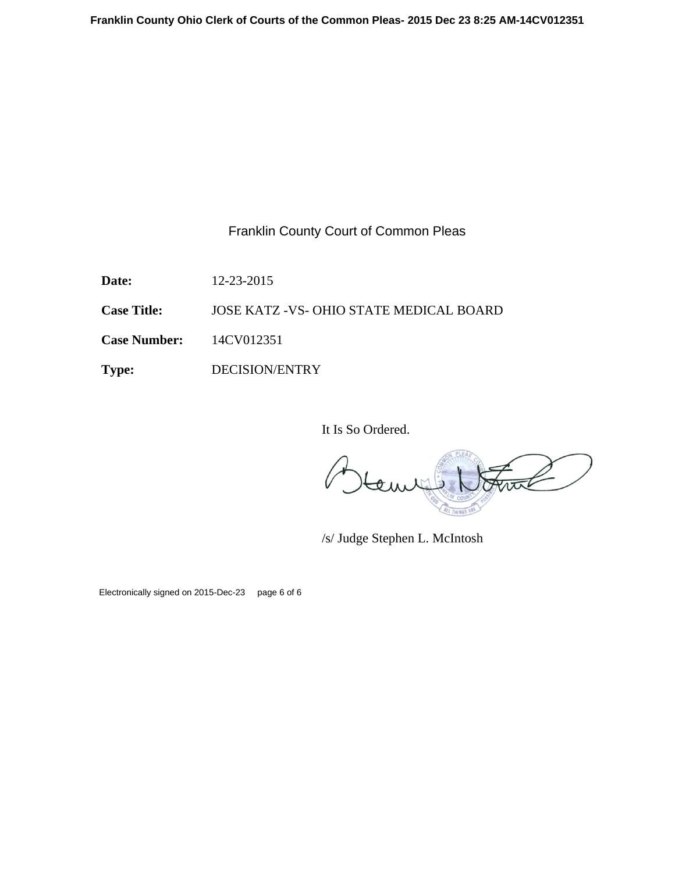Franklin County Court of Common Pleas

**Date:** 12-23-2015

**Case Title:** JOSE KATZ -VS- OHIO STATE MEDICAL BOARD

**Case Number:** 14CV012351

**Type:** DECISION/ENTRY

It Is So Ordered.

 $\frac{2}{\sqrt{2}}$ 

/s/ Judge Stephen L. McIntosh

Electronically signed on 2015-Dec-23 page 6 of 6